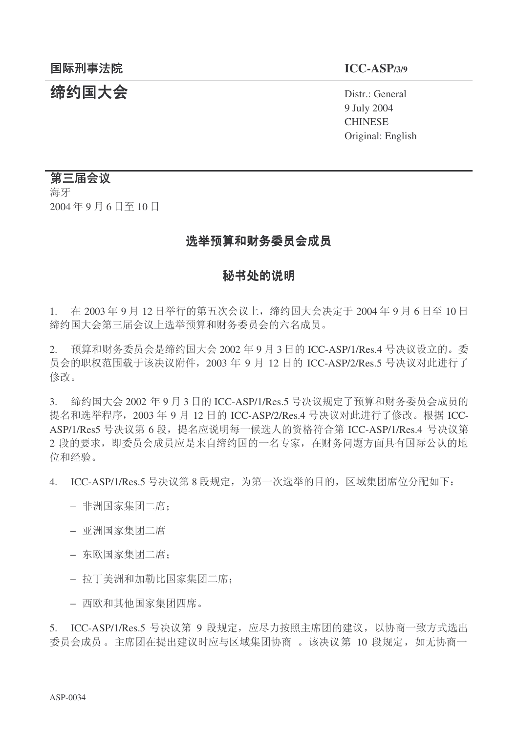# **缔约国大会** Distr.: General

9 July 2004 **CHINESE** Original: English

## 第三届会议

海牙 2004年9月6日至10日

## 选举预算和财务委员会成员

## 秘书处的说明

1. 在 2003年9月12日举行的第五次会议上, 缔约国大会决定于 2004年9月6日至10日 缔约国大会第三届会议上选举预算和财务委员会的六名成员。

 $2.$  预算和财务委员会是缔约国大会  $2002 \, \text{4}$  9 月 3 日的 ICC-ASP/1/Res.4 号决议设立的。委 员会的职权范围载于该决议附件, 2003 年 9 月 12 日的 ICC-ASP/2/Res.5 号决议对此进行了 修改。

3. 缔约国大会 2002 年 9 月 3 日的 ICC-ASP/1/Res.5 号决议规定了预算和财务委员会成员的 提名和选举程序, 2003 年 9 月 12 日的 ICC-ASP/2/Res.4 号决议对此讲行了修改。根据 ICC-ASP/1/Res5 号决议第 6 段, 提名应说明每一候选人的资格符合第 ICC-ASP/1/Res.4 号决议第 2 段的要求, 即委员会成员应是来自缔约国的一名专家, 在财务问题方面具有国际公认的地 位和经验。

4. ICC-ASP/1/Res.5 号决议第 8 段规定, 为第一次选举的目的, 区域集团席位分配如下:

- 非洲国家集团二席:
- − 亚洲国家集团二席
- 东欧国家集团二席:
- 拉丁美洲和加勒比国家集团二席:
- − 西欧和其他国家集团四席。

5. ICC-ASP/1/Res.5 号决议第 9 段规定, 应尽力按照主席团的建议, 以协商一致方式选出 委员会成员。主席团在提出建议时应与区域集团协商。该决议第 10 段规定, 如无协商一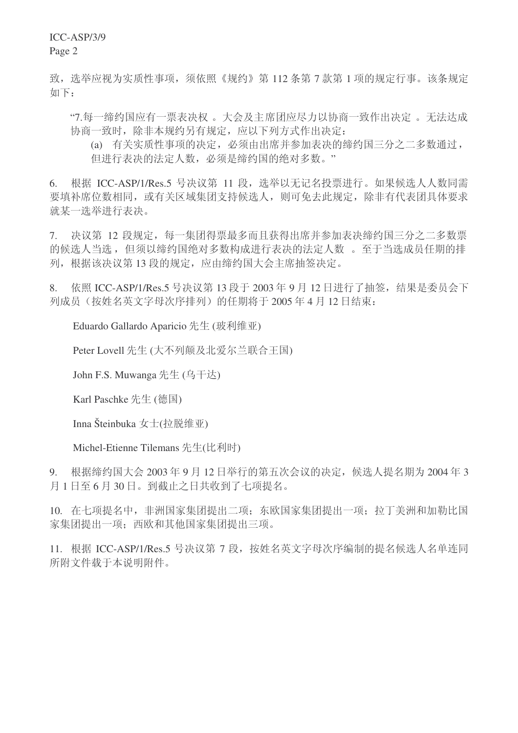ICC-ASP/3/9

Page 2

致, 选举应视为实质性事项, 须依照《规约》第112 条第 7 款第 1 项的规定行事。该条规定 如下:

"7.每一缔约国应有一票表决权。大会及主席团应尽力以协商一致作出决定。无法达成 协商一致时, 除非本规约另有规定, 应以下列方式作出决定:

(a) 有关实质性事项的决定, 必须由出席并参加表决的缔约国三分之二多数通过, 但进行表决的法定人数, 必须是缔约国的绝对多数。"

6. 根据 ICC-ASP/1/Res.5 号决议第 11 段, 选举以无记名投票进行。如果候选人人数同需 要填补席位数相同, 或有关区域集团支持候选人, 则可免去此规定, 除非有代表团具体要求 就某一选举进行表决。

7. 决议第 12 段规定, 每一集团得票最多而且获得出席并参加表决缔约国三分之二多数票 的候选人当选, 但须以缔约国绝对多数构成进行表决的法定人数。至于当选成员任期的排 列, 根据该决议第13 段的规定, 应由缔约国大会主席抽签决定。

8. 依照 ICC-ASP/1/Res.5 号决议第 13 段于 2003 年 9 月 12 日进行了抽签, 结果是委员会下 列成员(按姓名英文字母次序排列)的任期将于2005年4月12日结束:

Eduardo Gallardo Aparicio 先生 (玻利维亚)

Peter Lovell 先生 (大不列颠及北爱尔兰联合王国)

John F.S. Muwanga 先生 (乌干达)

Karl Paschke 先生 (德国)

Inna Šteinbuka 女士(拉脱维亚)

Michel-Etienne Tilemans 先生(比利时)

9. 根据缔约国大会 2003年 9月12日举行的第五次会议的决定,候选人提名期为 2004年3 月1日至6月30日。到截止之日共收到了七项提名。

10. 在七项提名中, 非洲国家集团提出二项: 东欧国家集团提出一项: 拉丁美洲和加勒比国 家集团提出一项: 西欧和其他国家集团提出三项。

11. 根据 ICC-ASP/1/Res.5 号决议第 7 段, 按姓名英文字母次序编制的提名候选人名单连同 所附文件载于本说明附件。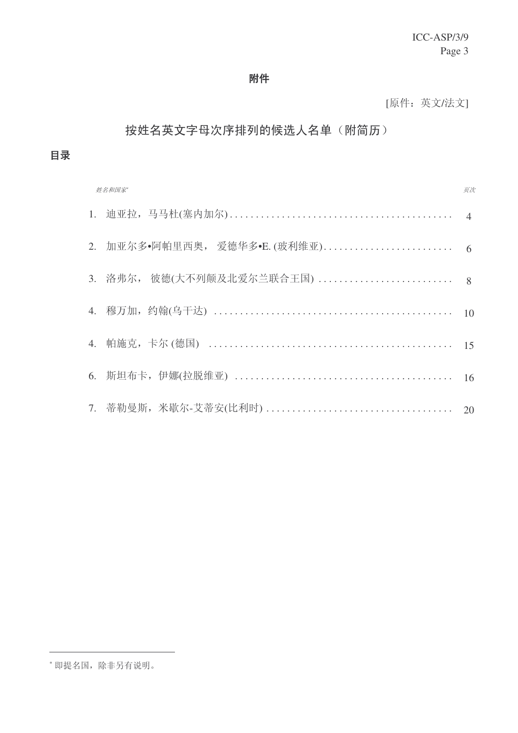## 附件

[原件: 英文/法文]

# 按姓名英文字母次序排列的候选人名单(附简历)

目录

| 页次<br>姓名和国家 |                                 |    |  |  |
|-------------|---------------------------------|----|--|--|
|             |                                 |    |  |  |
|             | 2. 加亚尔多•阿帕里西奥, 爱德华多•E. (玻利维亚) 6 |    |  |  |
|             | 3. 洛弗尔, 彼德(大不列颠及北爱尔兰联合王国)  8    |    |  |  |
|             |                                 | 10 |  |  |
|             |                                 |    |  |  |
|             |                                 | 16 |  |  |
|             |                                 |    |  |  |

## \* 即提名国, 除非另有说明。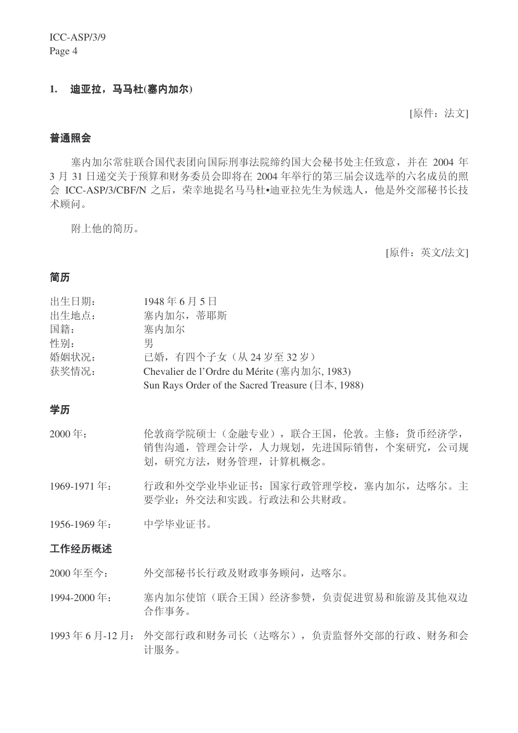#### 1. 迪亚拉, 马马杜(塞内加尔)

[原件: 法文]

#### 普通照会

寒内加尔常驻联合国代表团向国际刑事法院缔约国大会秘书处主任致意,并在 2004 年 3 月 31 日递交关于预算和财务委员会即将在 2004 年举行的第三届会议选举的六名成员的照 会 ICC-ASP/3/CBF/N 之后, 荣幸地提名马马杜•迪亚拉先生为候选人, 他是外交部秘书长技 术顾问。

附上他的简历。

[原件: 英文/法文]

### 简历

| 出生日期: | 1948年6月5日                                                      |
|-------|----------------------------------------------------------------|
| 出生地点: | 塞内加尔,蒂耶斯                                                       |
| 国籍:   | 寨内加尔                                                           |
| 性别:   | 男                                                              |
| 婚姻状况: | 已婚,有四个子女(从24岁至32岁)                                             |
| 获奖情况: | Chevalier de l'Ordre du Mérite (塞内加尔, 1983)                    |
|       | Sun Rays Order of the Sacred Treasure ( $\exists$ $\&$ , 1988) |
|       |                                                                |

#### 学历

- 2000年: 伦敦商学院硕士(金融专业), 联合王国, 伦敦。主修: 货币经济学, 销售沟通, 管理会计学, 人力规划, 先进国际销售, 个案研究, 公司规 划, 研究方法, 财务管理, 计算机概念。
- 1969-1971 年: 行政和外交学业毕业证书: 国家行政管理学校, 塞内加尔, 达喀尔。主 要学业: 外交法和实践。行政法和公共财政。

1956-1969年: 中学毕业证书。

#### 工作经历概述

- 2000 年至今: 外交部秘书长行政及财政事务顾问, 达喀尔。
- 1994-2000 年: 塞内加尔使馆(联合王国) 经济参赞, 负责促进贸易和旅游及其他双边 合作事务。
- 1993年6月-12月: 外交部行政和财务司长(达喀尔), 负责监督外交部的行政、财务和会 计服务。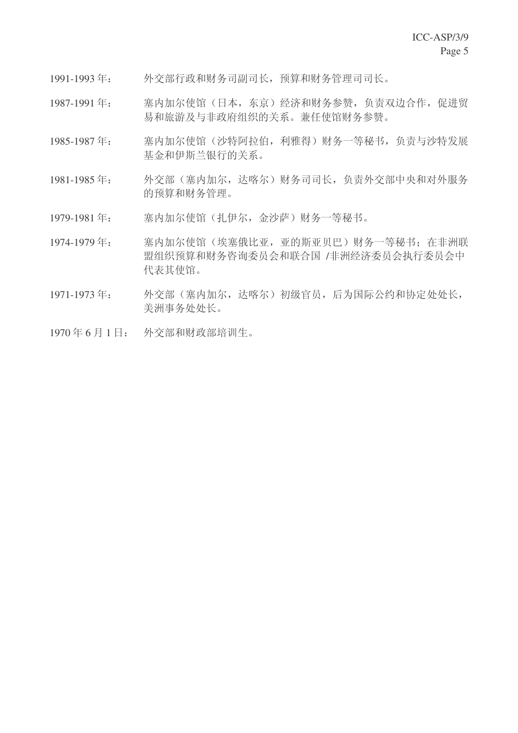- 1991-1993年: 外交部行政和财务司副司长, 预算和财务管理司司长。
- 1987-1991 年: 塞内加尔使馆(日本, 东京) 经济和财务参赞, 负责双边合作, 促进贸 易和旅游及与非政府组织的关系。兼任使馆财务参赞。
- 1985-1987年: 塞内加尔使馆(沙特阿拉伯,利雅得)财务一等秘书,负责与沙特发展 基金和伊斯兰银行的关系。
- 1981-1985年: 外交部(塞内加尔,达喀尔)财务司司长,负责外交部中央和对外服务 的预算和财务管理。
- 1979-1981 年: 塞内加尔使馆(扎伊尔,金沙萨)财务一等秘书。
- 1974-1979年: 塞内加尔使馆(埃塞俄比亚,亚的斯亚贝巴)财务一等秘书;在非洲联 盟组织预算和财务咨询委员会和联合国/非洲经济委员会执行委员会中 代表其使馆。
- 1971-1973年: 外交部(塞内加尔,达喀尔)初级官员,后为国际公约和协定处处长, 美洲事务处处长。
- 1970年6月1日: 外交部和财政部培训生。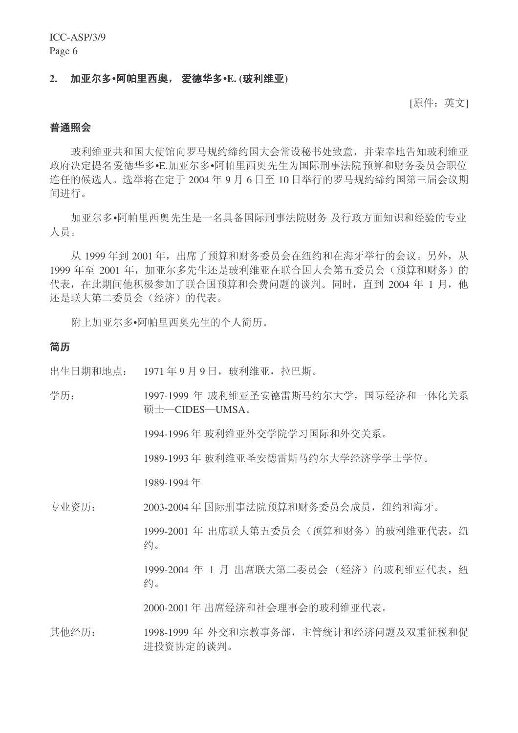#### 2. 加亚尔多•阿帕里西奥, 爱德华多•E. (玻利维亚)

[原件:英文]

#### 普通照会

玻利维亚共和国大使馆向罗马规约缔约国大会常设秘书处致意,并荣幸地告知玻利维亚 政府决定提名爱德华多•E.加亚尔多•阿帕里西奥先生为国际刑事法院预算和财务委员会职位 连任的候选人。选举将在定于2004年9月6日至10日举行的罗马规约缔约国第三届会议期 间进行。

加亚尔多•阿帕里西奥先生是一名具备国际刑事法院财务 及行政方面知识和经验的专业 人员。

从 1999年到 2001年, 出席了预算和财务委员会在纽约和在海牙举行的会议。另外, 从 1999 年至 2001 年, 加亚尔多先生还是玻利维亚在联合国大会第五委员会(预算和财务)的 代表, 在此期间他积极参加了联合国预算和会费问题的谈判。同时, 直到 2004 年 1 月, 他 还是联大第二委员会(经济)的代表。

附上加亚尔多•阿帕里西奥先生的个人简历。

#### 简历

出生日期和地点: 1971年9月9日, 玻利维亚, 拉巴斯。

学历: 1997-1999 年 玻利维亚圣安德雷斯马约尔大学, 国际经济和一体化关系 硕士-CIDES-UMSA。

1994-1996年 玻利维亚外交学院学习国际和外交关系。

1989-1993年玻利维亚圣安德雷斯马约尔大学经济学学士学位。

1989-1994 ᑈ

专业资历: 2003-2004年 国际刑事法院预算和财务委员会成员, 纽约和海牙。

1999-2001 年 出席联大第五委员会(预算和财务) 的玻利维亚代表, 纽 约。

1999-2004 年 1 月 出席联大第二委员会 (经济) 的玻利维亚代表, 纽 约。

2000-2001 年 出席经济和社会理事会的玻利维亚代表。

其他经历: 1998-1999 年 外交和宗教事务部, 主管统计和经济问题及双重征税和促 进投资协定的谈判。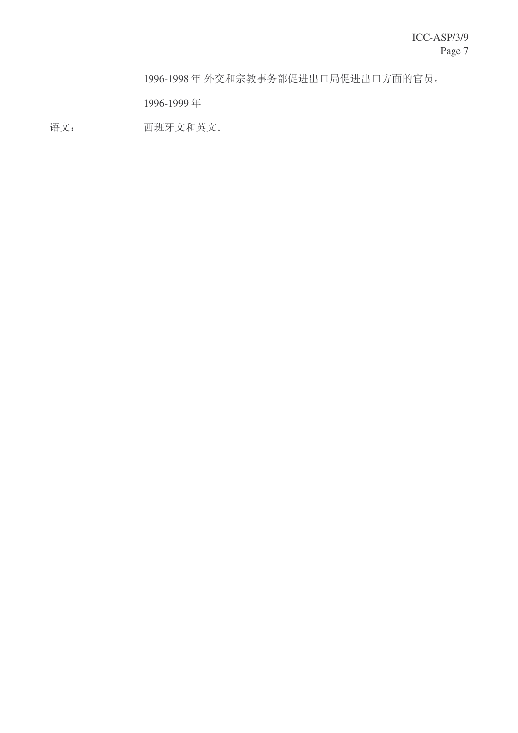1996-1998年外交和宗教事务部促进出口局促进出口方面的官员。

1996-1999 ᑈ

语文: 西班牙文和英文。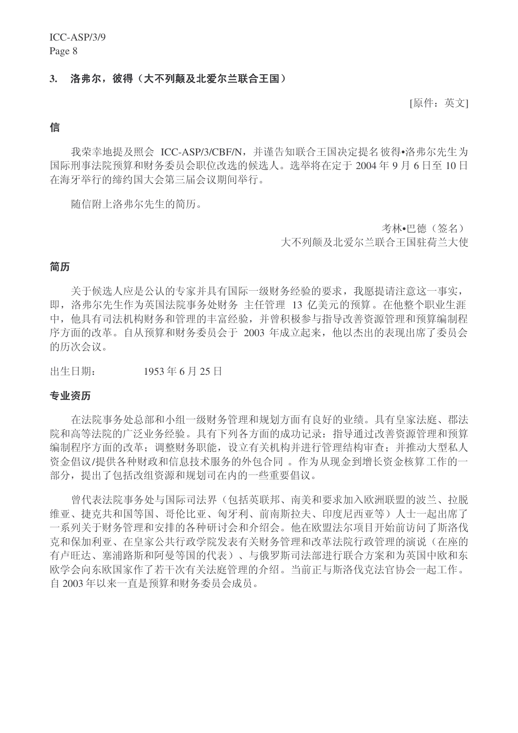#### 3. 洛弗尔,彼得(大不列颠及北爱尔兰联合王国)

[原件:英文]

#### 信

我荣幸地提及照会 ICC-ASP/3/CBF/N, 并谨告知联合王国决定提名彼得•洛弗尔先生为 国际刑事法院预算和财务委员会职位改选的候选人。选举将在定于2004年9月6日至10日 在海牙举行的缔约国大会第三届会议期间举行。

随信附上洛弗尔先生的简历。

考林•巴德(签名)

大不列颠及北爱尔兰联合王国驻荷兰大使

#### 简历

关于候选人应是公认的专家并具有国际一级财务经验的要求,我愿提请注意这一事实, 即, 洛弗尔先生作为英国法院事务处财务 主任管理 13 亿美元的预算。在他整个职业生涯 中, 他具有司法机构财务和管理的丰富经验, 并曾积极参与指导改善资源管理和预算编制程 序方面的改革。自从预算和财务委员会于 2003 年成立起来, 他以杰出的表现出席了委员会 的历次会议。

出生日期: 1953年6月25日

#### 专业资历

在法院事务处总部和小组一级财务管理和规划方面有良好的业绩。具有皇家法庭、郡法 院和高等法院的广泛业务经验。具有下列各方面的成功记录: 指导通过改善资源管理和预算 编制程序方面的改革;调整财务职能,设立有关机构并进行管理结构审查;并推动大型私人 资金倡议/提供各种财政和信息技术服务的外包合同。作为从现金到增长资金核算工作的一 部分, 提出了包括改组资源和规划司在内的一些重要倡议。

曾代表法院事务处与国际司法界(包括英联邦、南美和要求加入欧洲联盟的波兰、拉脱 维亚、捷克共和国等国、哥伦比亚、匈牙利、前南斯拉夫、印度尼西亚等)人士一起出席了 一系列关于财务管理和安排的各种研讨会和介绍会。他在欧盟法尔项目开始前访问了斯洛伐 克和保加利亚、在皇家公共行政学院发表有关财务管理和改革法院行政管理的演说(在座的 有卢旺达、寨浦路斯和阿曼等国的代表)、与俄罗斯司法部进行联合方案和为英国中欧和东 欧学会向东欧国家作了若干次有关法庭管理的介绍。当前正与斯洛伐克法官协会一起工作。 自 2003年以来一直是预算和财务委员会成员。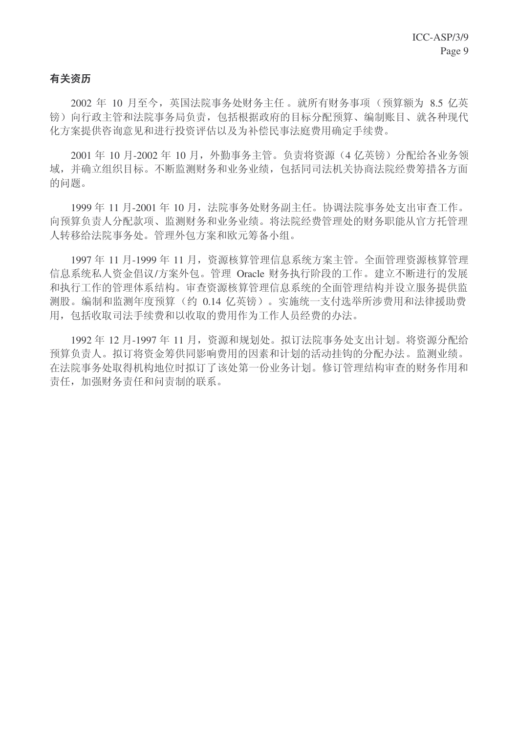## 有关资历

2002 年 10 月至今, 英国法院事务处财务主任。就所有财务事项(预算额为 8.5 亿英 镑)向行政主管和法院事务局负责,包括根据政府的目标分配预算、编制账目、就各种现代 化方案提供咨询意见和讲行投资评估以及为补偿民事法庭费用确定手续费。

2001 年 10 月-2002 年 10 月, 外勤事务主管。负责将资源(4 亿英镑) 分配给各业务领 域,并确立组织目标。不断监测财务和业务业绩,包括同司法机关协商法院经费筹措各方面 的问题。

1999年11月-2001年10月, 法院事务处财务副主任。协调法院事务处支出审查工作。 向预算负责人分配款项、监测财务和业务业绩。将法院经费管理处的财务职能从官方托管理 人转移给法院事务处。管理外包方案和欧元筹备小组。

1997年11月-1999年11月, 资源核算管理信息系统方案主管。全面管理资源核算管理 信息系统私人资金倡议/方案外包。管理 Oracle 财务执行阶段的工作。建立不断进行的发展 和执行工作的管理体系结构。审查资源核算管理信息系统的全面管理结构并设立服务提供监 测股。编制和监测年度预算(约 0.14 亿英镑)。实施统一支付选举所涉费用和法律援助费 用, 包括收取司法手续费和以收取的费用作为工作人员经费的办法。

1992年12月-1997年11月, 资源和规划处。拟订法院事务处支出计划。将资源分配给 预算负责人。拟订将资金筹供同影响费用的因素和计划的活动挂钩的分配办法。监测业绩。 在法院事务处取得机构地位时拟订了该处第一份业务计划。修订管理结构审查的财务作用和 责任, 加强财务责任和问责制的联系。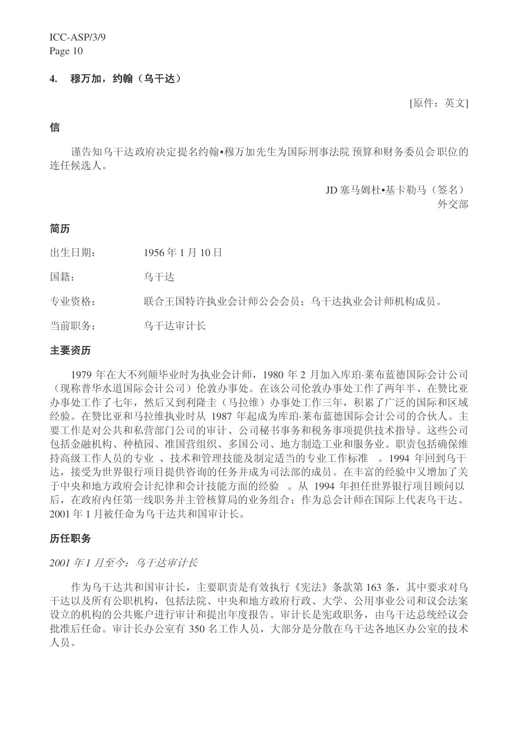#### 4. 穆万加,约翰(乌干达)

[原件:英文]

#### 信

谨告知乌干达政府决定提名约翰•穆万加先生为国际刑事法院 预算和财务委员会职位的 连任候选人。

JD 塞马姆杜•基卡勒马(答名)

外交部

#### 简历

出生日期: 1956年1月10日

国籍: 乌干达

专业资格: 联合王国特许执业会计师公会会员: 乌干达执业会计师机构成员。

当前职务: 乌干达审计长

#### 主要资历

1979 年在大不列颠毕业时为执业会计师, 1980 年 2 月加入库珀·莱布蓝德国际会计公司 (现称普华水道国际会计公司) 伦敦办事处。在该公司伦敦办事处工作了两年半、在赞比亚 办事处工作了七年,然后又到利降圭(马拉维)办事处工作三年,积累了广泛的国际和区域 经验。在赞比亚和马拉维执业时从 1987 年起成为库珀·莱布蓝德国际会计公司的合伙人。主 要工作是对公共和私营部门公司的审计、公司秘书事务和税务事项提供技术指导。这些公司 包括金融机构、种植园、准国营组织、多国公司、地方制造工业和服务业。职责包括确保维 持高级工作人员的专业、技术和管理技能及制定适当的专业工作标准。1994 年回到乌干 达, 接受为世界银行项目提供咨询的任务并成为司法部的成员。在丰富的经验中又增加了关 千中央和地方政府会计纪律和会计技能方面的经验。从 1994 年相任世界银行项目顾问以 后, 在政府内任第一线职务并主管核算局的业务组合: 作为总会计师在国际上代表乌干达。 2001年1月被任命为乌干达共和国审计长。

#### 历任职务

2001年1月至今: 乌干达审计长

作为乌干达共和国审计长, 主要职责是有效执行《宪法》条款第163条, 其中要求对乌 于达以及所有公职机构, 包括法院、中央和地方政府行政、大学、公用事业公司和议会法案 设立的机构的公共账户进行审计和提出年度报告。审计长是宪政职务, 由乌干达总统经议会 批准后任命。审计长办公室有350 名工作人员,大部分是分散在乌干达各地区办公室的技术 人员。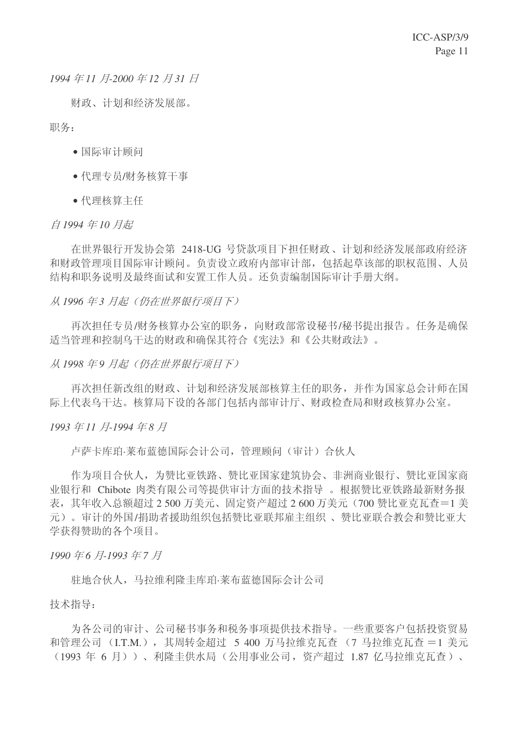*1994年11月-2000年12月31日* 

财政、计划和经济发展部。

职务:

- 国际审计顾问
- 代理专员/财务核算干事
- 代理核算主任

#### 自 1994年10月起

在世界银行开发协会第 2418-UG 号贷款项目下担任财政、计划和经济发展部政府经济 和财政管理项目国际审计顾问。负责设立政府内部审计部, 包括起草该部的职权范围、人员 结构和职务说明及最终面试和安置工作人员。还负责编制国际审计手册大纲。

#### 从 1996 年3 月起(仍在世界银行项目下)

再次担任专员/财务核算办公室的职务, 向财政部常设秘书/秘书提出报告。任务是确保 话当管理和控制乌干达的财政和确保其符合《宪法》和《公共财政法》。

从 1998 年9 月起 (仍在世界银行项目下)

再次担任新改组的财政、计划和经济发展部核算主任的职务,并作为国家总会计师在国 际上代表乌干达。核算局下设的各部门包括内部审计厅、财政检查局和财政核算办公室。

*1993* ᑈ *11* ᳜*-1994* ᑈ *8* ᳜

卢萨卡库珀·莱布蓝德国际会计公司, 管理顾问(审计)合伙人

作为项目合伙人,为赞比亚铁路、赞比亚国家建筑协会、非洲商业银行、赞比亚国家商 业银行和 Chibote 肉类有限公司等提供审计方面的技术指导 。根据赞比亚铁路最新财务报 表, 其年收入总额超过 2 500 万美元、固定资产超过 2 600 万美元 (700 赞比亚克瓦杳=1 美 元)。审计的外国/捐助者援助组织包括赞比亚联邦雇主组织、赞比亚联合教会和赞比亚大 学获得赞助的各个项目。

1990年6月-1993年7月

驻地合伙人,马拉维利降圭库珀·莱布蓝德国际会计公司

技术指导:

为各公司的审计、公司秘书事务和税务事项提供技术指导。一些重要客户包括投资贸易 和管理公司 (I.T.M.), 其周转金超过 5 400 万马拉维克瓦查 (7 马拉维克瓦杳 = 1 美元 (1993 年 6 月))、利降圭供水局(公用事业公司, 资产超过 1.87 亿马拉维克瓦杳)、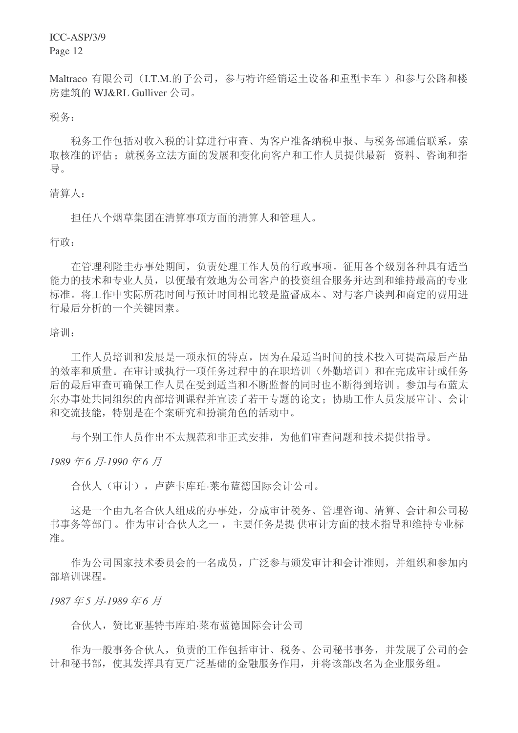ICC-ASP/3/9

Page 12

Maltraco 有限公司 (I.T.M.的子公司, 参与特许经销运土设备和重型卡车) 和参与公路和楼 房建筑的 WJ&RL Gulliver 公司。

税条:

税务工作包括对收入税的计算进行审查、为客户准备纳税申报、与税务部通信联系,索 取核准的评估; 就税务立法方面的发展和变化向客户和工作人员提供最新 资料、咨询和指 导。

#### 清算人:

担任八个烟草集团在清算事项方面的清算人和管理人。

行政:

在管理利隆圭办事处期间, 负责处理工作人员的行政事项。征用各个级别各种具有话当 能力的技术和专业人员,以便最有效地为公司客户的投资组合服务并达到和维持最高的专业 标准。将工作中实际所花时间与预计时间相比较是监督成本、对与客户谈判和商定的费用进 行最后分析的一个关键因素。

培训:

工作人员培训和发展是一项永恒的特点,因为在最适当时间的技术投入可提高最后产品 的效率和质量。在审计或执行一项任务过程中的在职培训(外勤培训)和在完成审计或任务 后的最后审查可确保工作人员在受到适当和不断监督的同时也不断得到培训。参加与布蓝太 尔办事处共同组织的内部培训课程并宣读了若干专题的论文: 协助工作人员发展审计、会计 和交流技能,特别是在个案研究和扮演角色的活动中。

与个别工作人员作出不太规范和非正式安排,为他们审查问题和技术提供指导。

*1989* ᑈ *6* ᳜*-1990* ᑈ *6* ᳜

合伙人(审计), 卢萨卡库珀.莱布蓝德国际会计公司。

这是一个由九名合伙人组成的办事处,分成审计税务、管理咨询、清算、会计和公司秘 书事务等部门。作为审计合伙人之一, 主要任务是提供审计方面的技术指导和维持专业标 准。

作为公司国家技术委员会的一名成员, 广泛参与颁发审计和会计准则, 并组织和参加内 部培训课程。

*1987* ᑈ *5* ᳜*-1989* ᑈ *6* ᳜

合伙人, 赞比亚基特韦库珀·莱布蓝德国际会计公司

作为一般事务合伙人,负责的工作包括审计、税务、公司秘书事务,并发展了公司的会 计和秘书部, 使其发挥具有更广泛基础的金融服务作用, 并将该部改名为企业服务组。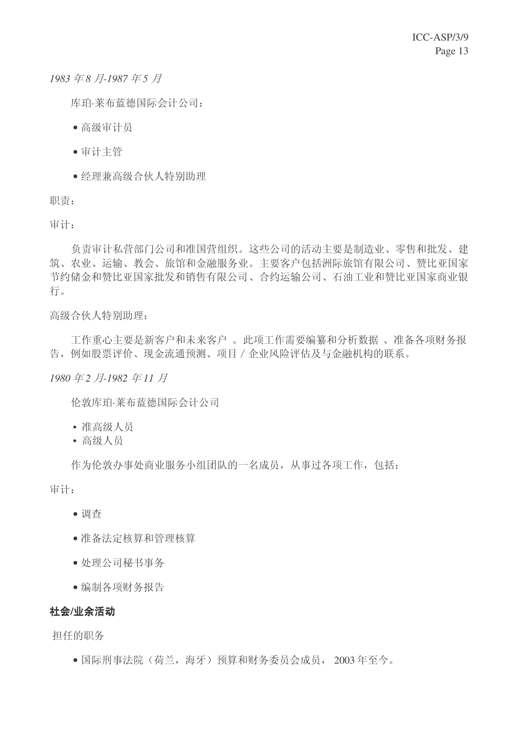1983年8月-1987年5月

库珀·莱布蓝德国际会计公司:

- 高级审计员
- 审计主管
- 经理兼高级合伙人特别助理

职责:

审计:

负责审计私营部门公司和准国营组织。这些公司的活动主要是制造业、零售和批发、建 筑、农业、运输、教会、旅馆和金融服务业。主要客户包括洲际旅馆有限公司、赞比亚国家 节约储金和赞比亚国家批发和销售有限公司、合约运输公司、石油工业和赞比亚国家商业银 行。

高级合伙人特别助理:

工作重心主要是新客户和未来客户 。此项工作需要编纂和分析数据 、准备各项财务报 告, 例如股票评价、现金流通预测、项目 / 企业风险评估及与金融机构的联系。

*1980* ᑈ *2* ᳜*-1982* ᑈ *11* ᳜

伦敦库珀·莱布蓝德国际会计公司

- 准高级人员
- 高级人员

作为伦敦办事处商业服务小组团队的一名成员, 从事过各项工作, 包括: 审计:

- 调杳
- ●准备法定核算和管理核算
- 处理公司秘书事务
- 编制各项财务报告

#### 社会/业余活动

扣仟的职务

• 国际刑事法院(荷兰, 海牙) 预算和财务委员会成员, 2003年至今。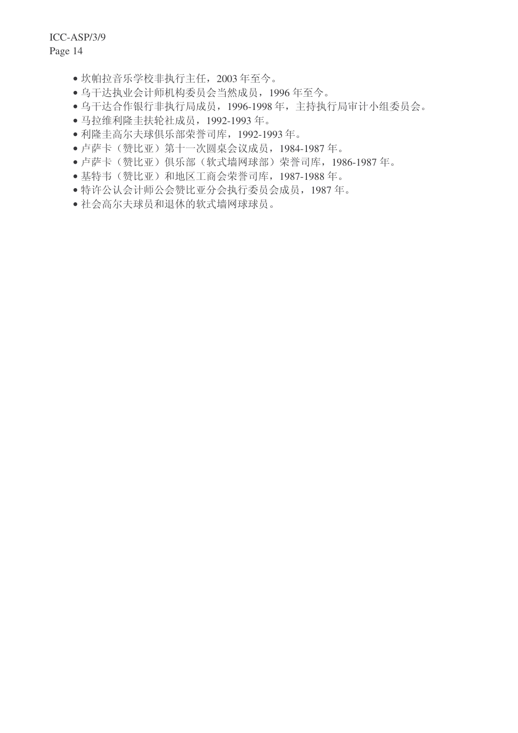ICC-ASP/3/9

Page 14

- 坎帕拉音乐学校非执行主任, 2003年至今。
- 乌干达执业会计师机构委员会当然成员, 1996年至今。
- 乌干达合作银行非执行局成员, 1996-1998 年, 主持执行局审计小组委员会。
- 马拉维利隆圭扶轮社成员, 1992-1993 年。
- 利隆圭高尔夫球俱乐部荣誉司库, 1992-1993年。
- 卢萨卡(赞比亚) 第十一次圆桌会议成员, 1984-1987 年。
- 卢萨卡(赞比亚)俱乐部(软式墙网球部)荣誉司库, 1986-1987年。
- 基特韦(赞比亚)和地区工商会荣誉司库, 1987-1988 年。
- 特许公认会计师公会赞比亚分会执行委员会成员, 1987年。
- 社会高尔夫球员和退休的软式墙网球球员。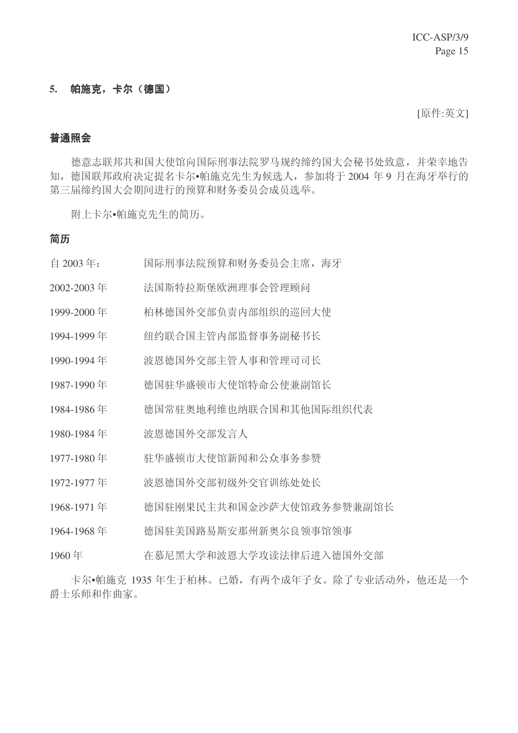#### 5. 帕施克,卡尔(德国)

[原件:英文]

#### 普通照会

德意志联邦共和国大使馆向国际刑事法院罗马规约缔约国大会秘书处致意,并荣幸地告 知, 德国联邦政府决定提名卡尔•帕施克先生为候选人, 参加将于2004年9月在海牙举行的 第三届缔约国大会期间进行的预算和财务委员会成员选举。

附上卡尔•帕施克先生的简历。

#### 简历

- 自 2003年: 国际刑事法院预算和财务委员会主席, 海牙
- 2002-2003 ᑈ ⊩ᮃ⡍ᢝᮃ⌆⧚џӮㅵ⧚乒䯂
- 1999-2000 年 柏林德国外交部负责内部组织的巡回大使
- 1994-1999年 纽约联合国主管内部监督事务副秘书长
- 1990-1994年 波恩德国外交部主管人事和管理司司长
- 1987-1990 年 德国驻华盛顿市大使馆特命公使兼副馆长
- 1984-1986年 德国常驻奥地利维也纳联合国和其他国际组织代表
- 1980-1984 年 被恩德国外交部发言人
- 1977-1980 ᑈ 偏ढⲯ乓ᏖՓ佚ᮄ䯏݀ӫџࡵখ䌲
- 1972-1977 年 波恩德国外交部初级外交官训练处处长
- 1968-1971 年 德国驻刚果民主共和国金沙萨大使馆政务参赞兼副馆长
- 1964-1968年 德国驻美国路易斯安那州新奥尔良领事馆领事
- 1960年 在慕尼黑大学和波恩大学攻读法律后进入德国外交部

卡尔•帕施克 1935 年生于柏林。已婚, 有两个成年子女。除了专业活动外, 他还是一个 爵士乐师和作曲家。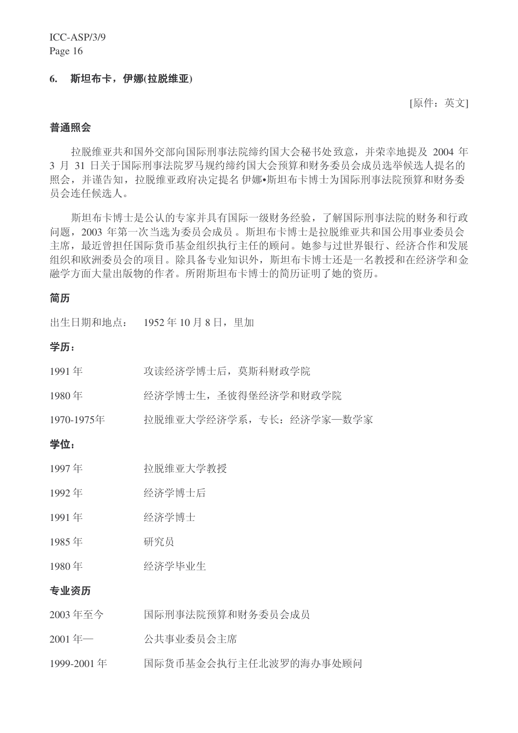#### 6. 斯坦布卡,伊娜(拉脱维亚)

[原件:英文]

#### 普通照会

拉脱维亚共和国外交部向国际刑事法院缔约国大会秘书处致意,并荣幸地提及 2004 年 3 月 31 日关于国际刑事法院罗马规约缔约国大会预算和财务委员会成员选举候选人提名的 照会,并谨告知,拉脱维亚政府决定提名伊娜·斯坦布卡博士为国际刑事法院预算和财务委 员会连任候选人。

斯坦布卡博士是公认的专家并具有国际一级财务经验,了解国际刑事法院的财务和行政 问题, 2003 年第一次当选为委员会成员。斯坦布卡博士是拉脱维亚共和国公用事业委员会 主席, 最近曾担任国际货币基金组织执行主任的顾问。她参与过世界银行、经济合作和发展 组织和欧洲委员会的项目。除具备专业知识外, 斯坦布卡博士还是一名教授和在经济学和金 融学方面大量出版物的作者。所附斯坦布卡博士的简历证明了她的资历。

#### 简历

出生日期和地点: 1952年10月8日, 里加

#### 学历:

| 1980年<br>专业资历 | 经济学毕业生                    |
|---------------|---------------------------|
| 1985年         | 研究员                       |
| 1991年         | 经济学博士                     |
| 1992年         | 经济学博士后                    |
| 1997年         | 拉脱维亚大学教授                  |
| 学位:           |                           |
| 1970-1975年    | 拉脱维亚大学经济学系, 专长: 经济学家--数学家 |
| 1980年         | 经济学博士生,圣彼得堡经济学和财政学院       |
| 1991年         | 攻读经济学博士后, 莫斯科财政学院         |

- 2003年至今 国际刑事法院预算和财务委员会成员
- 2001年–––––––––––公共事业委员会主席
- 1999-2001 年 国际货币基金会执行主任北波罗的海办事处顾问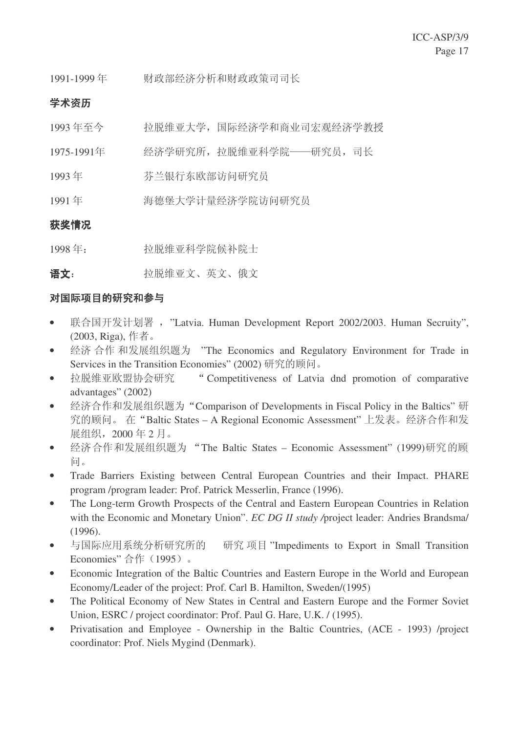1991-1999年 财政部经济分析和财政政策司司长

## 学术资历

- 1993 年至今 拉脱维亚大学,国际经济学和商业司宏观经济学教授
- 1975-1991年 经济学研究所, 拉脱维亚科学院——研究员, 司长
- 1993年 病兰银行东欧部访问研究员
- 1991年 病德堡大学计量经济学院访问研究员

## 获奖情况

1998年: 拉脱维亚科学院候补院士

䇁᭛˖ ᢝ㜅㓈Ѯ᭛ǃ㣅᭛ǃ֘᭛

## 对国际项目的研究和参与

- 联合国开发计划署, "Latvia. Human Development Report 2002/2003. Human Secruity", (2003, Riga), 作者。
- 经济合作和发展组织题为 "The Economics and Regulatory Environment for Trade in Services in the Transition Economies" (2002) 研究的顾问。
- 拉脱维亚欧盟协会研究 "Competitiveness of Latvia dnd promotion of comparative advantages" (2002)
- 经济合作和发展组织题为"Comparison of Developments in Fiscal Policy in the Baltics"研 究的顾问。 在"Baltic States – A Regional Economic Assessment" 上发表。经济合作和发 展组织, 2000年2月。
- 经济合作和发展组织题为"The Baltic States Economic Assessment" (1999)研究的顾 间。
- Trade Barriers Existing between Central European Countries and their Impact. PHARE program /program leader: Prof. Patrick Messerlin, France (1996).
- The Long-term Growth Prospects of the Central and Eastern European Countries in Relation with the Economic and Monetary Union". *EC DG II study /*project leader: Andries Brandsma/ (1996).
- 与国际应用系统分析研究所的 研究项目 "Impediments to Export in Small Transition Economies" 合作 (1995)。
- Economic Integration of the Baltic Countries and Eastern Europe in the World and European Economy/Leader of the project: Prof. Carl B. Hamilton, Sweden/(1995)
- The Political Economy of New States in Central and Eastern Europe and the Former Soviet Union, ESRC / project coordinator: Prof. Paul G. Hare, U.K. / (1995).
- Privatisation and Employee Ownership in the Baltic Countries, (ACE 1993) /project coordinator: Prof. Niels Mygind (Denmark).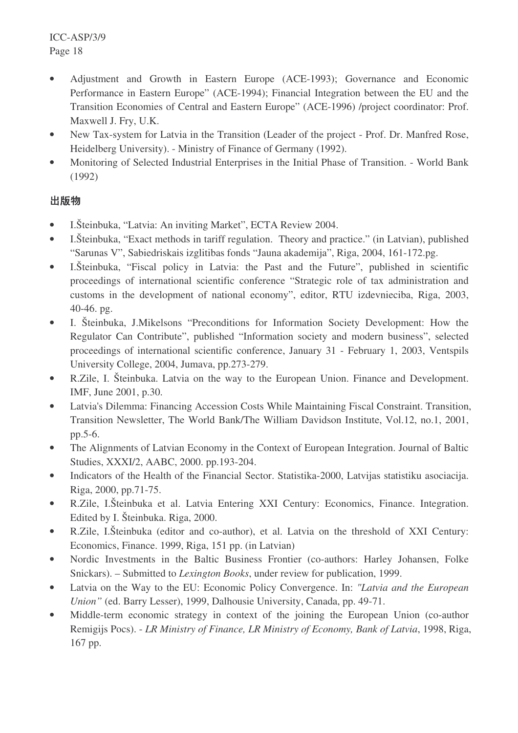- Adjustment and Growth in Eastern Europe (ACE-1993); Governance and Economic Performance in Eastern Europe" (ACE-1994); Financial Integration between the EU and the Transition Economies of Central and Eastern Europe" (ACE-1996) /project coordinator: Prof. Maxwell J. Fry, U.K.
- New Tax-system for Latvia in the Transition (Leader of the project Prof. Dr. Manfred Rose, Heidelberg University). - Ministry of Finance of Germany (1992).
- Monitoring of Selected Industrial Enterprises in the Initial Phase of Transition. World Bank (1992)

## 岀版物

- I.Šteinbuka, "Latvia: An inviting Market", ECTA Review 2004.
- I.Šteinbuka, "Exact methods in tariff regulation. Theory and practice." (in Latvian), published "Sarunas V", Sabiedriskais izglitibas fonds "Jauna akademija", Riga, 2004, 161-172.pg.
- I.Šteinbuka, "Fiscal policy in Latvia: the Past and the Future", published in scientific proceedings of international scientific conference "Strategic role of tax administration and customs in the development of national economy", editor, RTU izdevnieciba, Riga, 2003, 40-46. pg.
- I. Šteinbuka, J.Mikelsons "Preconditions for Information Society Development: How the Regulator Can Contribute", published "Information society and modern business", selected proceedings of international scientific conference, January 31 - February 1, 2003, Ventspils University College, 2004, Jumava, pp.273-279.
- R.Zile, I. Šteinbuka. Latvia on the way to the European Union. Finance and Development. IMF, June 2001, p.30.
- Latvia's Dilemma: Financing Accession Costs While Maintaining Fiscal Constraint. Transition, Transition Newsletter, The World Bank/The William Davidson Institute, Vol.12, no.1, 2001, pp.5-6.
- The Alignments of Latvian Economy in the Context of European Integration. Journal of Baltic Studies, XXXI/2, AABC, 2000. pp.193-204.
- Indicators of the Health of the Financial Sector. Statistika-2000, Latvijas statistiku asociacija. Riga, 2000, pp.71-75.
- R.Zile, I.Šteinbuka et al. Latvia Entering XXI Century: Economics, Finance. Integration. Edited by I. Šteinbuka. Riga, 2000.
- R.Zile, I.Šteinbuka (editor and co-author), et al. Latvia on the threshold of XXI Century: Economics, Finance. 1999, Riga, 151 pp. (in Latvian)
- Nordic Investments in the Baltic Business Frontier (co-authors: Harley Johansen, Folke Snickars). – Submitted to *Lexington Books*, under review for publication, 1999.
- Latvia on the Way to the EU: Economic Policy Convergence. In: *"Latvia and the European Union"* (ed. Barry Lesser), 1999, Dalhousie University, Canada, pp. 49-71.
- Middle-term economic strategy in context of the joining the European Union (co-author Remigijs Pocs). - *LR Ministry of Finance, LR Ministry of Economy, Bank of Latvia*, 1998, Riga, 167 pp.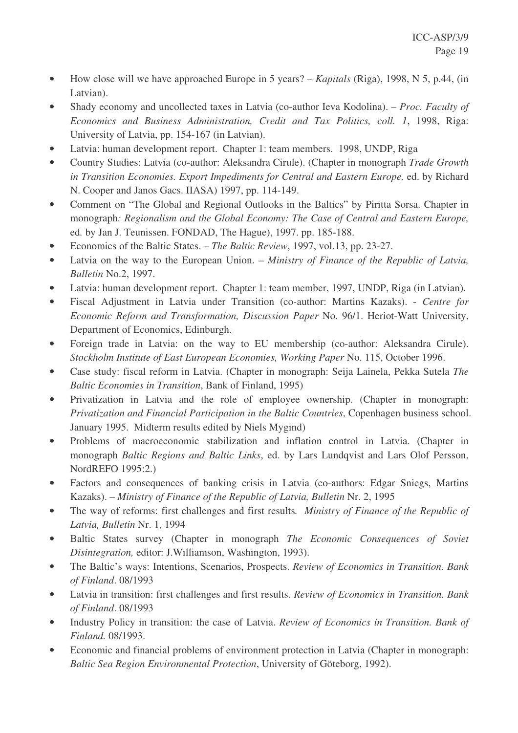- How close will we have approached Europe in 5 years? *Kapitals* (Riga), 1998, N 5, p.44, (in Latvian).
- Shady economy and uncollected taxes in Latvia (co-author Ieva Kodolina). *Proc. Faculty of Economics and Business Administration, Credit and Tax Politics, coll. 1*, 1998, Riga: University of Latvia, pp. 154-167 (in Latvian).
- Latvia: human development report. Chapter 1: team members. 1998, UNDP, Riga
- Country Studies: Latvia (co-author: Aleksandra Cirule). (Chapter in monograph *Trade Growth in Transition Economies. Export Impediments for Central and Eastern Europe,* ed. by Richard N. Cooper and Janos Gacs. IIASA) 1997, pp. 114-149.
- Comment on "The Global and Regional Outlooks in the Baltics" by Piritta Sorsa. Chapter in monograph*: Regionalism and the Global Economy: The Case of Central and Eastern Europe,* ed*.* by Jan J. Teunissen. FONDAD, The Hague), 1997. pp. 185-188.
- Economics of the Baltic States. *The Baltic Review*, 1997, vol.13, pp. 23-27.
- Latvia on the way to the European Union. *Ministry of Finance of the Republic of Latvia, Bulletin* No.2, 1997.
- Latvia: human development report. Chapter 1: team member, 1997, UNDP, Riga (in Latvian).
- Fiscal Adjustment in Latvia under Transition (co-author: Martins Kazaks). *Centre for Economic Reform and Transformation, Discussion Paper* No. 96/1. Heriot-Watt University, Department of Economics, Edinburgh.
- Foreign trade in Latvia: on the way to EU membership (co-author: Aleksandra Cirule). *Stockholm Institute of East European Economies, Working Paper* No. 115, October 1996.
- Case study: fiscal reform in Latvia. (Chapter in monograph: Seija Lainela, Pekka Sutela *The Baltic Economies in Transition*, Bank of Finland, 1995)
- Privatization in Latvia and the role of employee ownership. (Chapter in monograph: *Privatization and Financial Participation in the Baltic Countries*, Copenhagen business school. January 1995. Midterm results edited by Niels Mygind)
- Problems of macroeconomic stabilization and inflation control in Latvia. (Chapter in monograph *Baltic Regions and Baltic Links*, ed. by Lars Lundqvist and Lars Olof Persson, NordREFO 1995:2.)
- Factors and consequences of banking crisis in Latvia (co-authors: Edgar Sniegs, Martins Kazaks). – *Ministry of Finance of the Republic of Latvia, Bulletin* Nr. 2, 1995
- The way of reforms: first challenges and first results*. Ministry of Finance of the Republic of Latvia, Bulletin* Nr. 1, 1994
- Baltic States survey (Chapter in monograph *The Economic Consequences of Soviet Disintegration,* editor: J.Williamson, Washington, 1993).
- The Baltic's ways: Intentions, Scenarios, Prospects. *Review of Economics in Transition. Bank of Finland*. 08/1993
- Latvia in transition: first challenges and first results. *Review of Economics in Transition. Bank of Finland*. 08/1993
- Industry Policy in transition: the case of Latvia. *Review of Economics in Transition. Bank of Finland.* 08/1993.
- Economic and financial problems of environment protection in Latvia (Chapter in monograph: *Baltic Sea Region Environmental Protection*, University of Göteborg, 1992).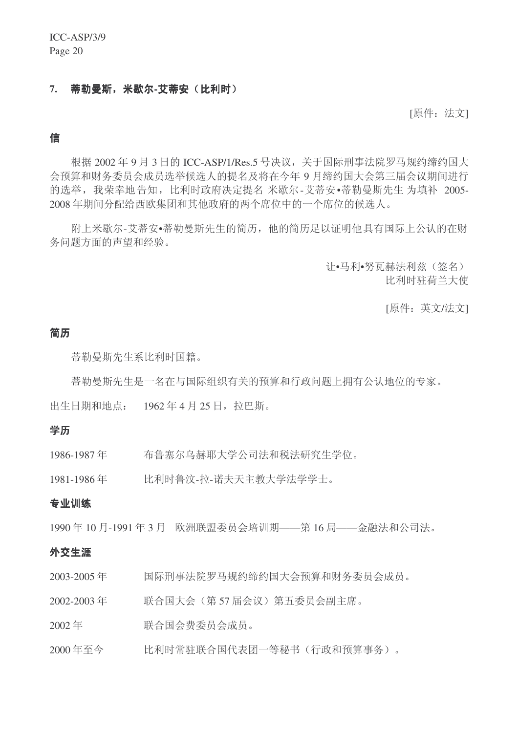#### 7. 蒂勒曼斯, 米歇尔-艾蒂安(比利时)

[原件: 法文]

#### 信

根据 2002 年 9 月 3 日的 ICC-ASP/1/Res.5 号决议, 关于国际刑事法院罗马规约缔约国大 会预算和财务委员会成员选举候选人的提名及将在今年9月缔约国大会第三届会议期间进行 的选举,我荣幸地告知,比利时政府决定提名米歇尔-艾蒂安·蒂勒曼斯先生为填补 2005-2008年期间分配给西欧集团和其他政府的两个席位中的一个席位的候选人。

附上米歇尔-艾蒂安•蒂勒曼斯先生的简历,他的简历足以证明他具有国际上公认的在财 务问题方面的声望和经验。

> 计•马利•努瓦赫法利兹(签名) 比利时驻荷兰大使

> > [原件: 英文/法文]

#### 简历

蒂勒曼斯先生系比利时国籍。

蒂勒曼斯先生是一名在与国际组织有关的预算和行政问题上拥有公认地位的专家。

出生日期和地点: 1962年4月25日, 拉巴斯。

#### 学历

1986-1987年 布鲁塞尔乌赫耶大学公司法和税法研究生学位。

1981-1986 年 〔 比利时鲁汶-拉-诺夫天主教大学法学学士。

#### 专业训练

1990年10月-1991年3月 欧洲联盟委员会培训期——第16局——金融法和公司法。

#### 外交生涯

- 2003-2005年 国际刑事法院罗马规约缔约国大会预算和财务委员会成员。
- 2002-2003年 联合国大会(第57届会议)第五委员会副主席。
- 2002 ᑈ 㘨ড়Ӯ䌍ྨਬӮ៤ਬDŽ
- 2000 年至今 不上 比利时常驻联合国代表团一等秘书 (行政和预算事务)。